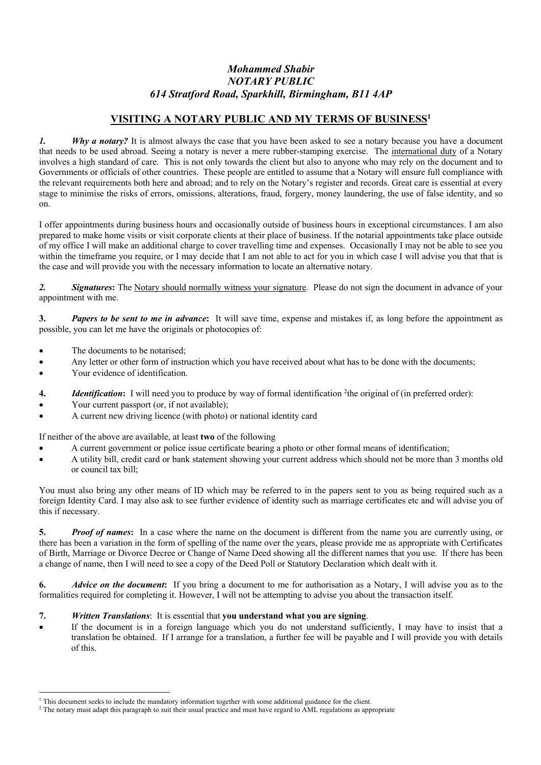# *Mohammed Shabir NOTARY PUBLIC 614 Stratford Road, Sparkhill, Birmingham, B11 4AP*

## **VISITING A NOTARY PUBLIC AND MY TERMS OF BUSINESS1**

*1. Why a notary?* It is almost always the case that you have been asked to see a notary because you have a document that needs to be used abroad. Seeing a notary is never a mere rubber-stamping exercise. The international duty of a Notary involves a high standard of care. This is not only towards the client but also to anyone who may rely on the document and to Governments or officials of other countries. These people are entitled to assume that a Notary will ensure full compliance with the relevant requirements both here and abroad; and to rely on the Notary's register and records. Great care is essential at every stage to minimise the risks of errors, omissions, alterations, fraud, forgery, money laundering, the use of false identity, and so on.

I offer appointments during business hours and occasionally outside of business hours in exceptional circumstances. I am also prepared to make home visits or visit corporate clients at their place of business. If the notarial appointments take place outside of my office I will make an additional charge to cover travelling time and expenses. Occasionally I may not be able to see you within the timeframe you require, or I may decide that I am not able to act for you in which case I will advise you that that is the case and will provide you with the necessary information to locate an alternative notary.

*2. Signatures***:** The Notary should normally witness your signature. Please do not sign the document in advance of your appointment with me.

**3.** *Papers to be sent to me in advance***:** It will save time, expense and mistakes if, as long before the appointment as possible, you can let me have the originals or photocopies of:

- The documents to be notarised;
- Any letter or other form of instruction which you have received about what has to be done with the documents;
- Your evidence of identification.
- 4. *Identification*: I will need you to produce by way of formal identification <sup>2</sup>the original of (in preferred order):
- Your current passport (or, if not available);
- A current new driving licence (with photo) or national identity card

If neither of the above are available, at least **two** of the following

- A current government or police issue certificate bearing a photo or other formal means of identification;
- A utility bill, credit card or bank statement showing your current address which should not be more than 3 months old or council tax bill;

You must also bring any other means of ID which may be referred to in the papers sent to you as being required such as a foreign Identity Card. I may also ask to see further evidence of identity such as marriage certificates etc and will advise you of this if necessary.

**5.** *Proof of names***:** In a case where the name on the document is different from the name you are currently using, or there has been a variation in the form of spelling of the name over the years, please provide me as appropriate with Certificates of Birth, Marriage or Divorce Decree or Change of Name Deed showing all the different names that you use. If there has been a change of name, then I will need to see a copy of the Deed Poll or Statutory Declaration which dealt with it.

**6.** *Advice on the document***:** If you bring a document to me for authorisation as a Notary, I will advise you as to the formalities required for completing it. However, I will not be attempting to advise you about the transaction itself.

#### **7.** *Written Translations*: It is essential that **you understand what you are signing**.

If the document is in a foreign language which you do not understand sufficiently, I may have to insist that a translation be obtained. If I arrange for a translation, a further fee will be payable and I will provide you with details of this.

 $^1$  This document seeks to include the mandatory information together with some additional guidance for the client.<br><sup>2</sup> The notary must adapt this paragraph to suit their usual practice and must have regard to AML regula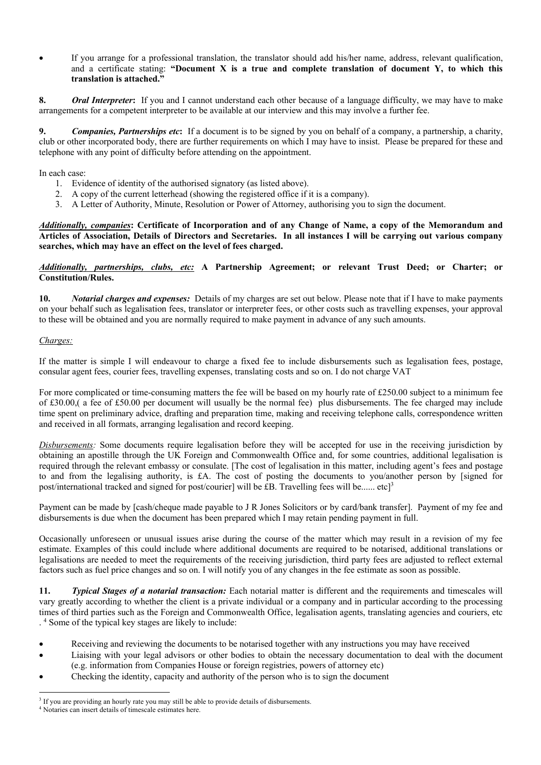• If you arrange for a professional translation, the translator should add his/her name, address, relevant qualification, and a certificate stating: **"Document X is a true and complete translation of document Y, to which this translation is attached."**

**8.** *Oral Interpreter***:** If you and I cannot understand each other because of a language difficulty, we may have to make arrangements for a competent interpreter to be available at our interview and this may involve a further fee.

**9.** *Companies, Partnerships etc***:** If a document is to be signed by you on behalf of a company, a partnership, a charity, club or other incorporated body, there are further requirements on which I may have to insist. Please be prepared for these and telephone with any point of difficulty before attending on the appointment.

In each case:

- 1. Evidence of identity of the authorised signatory (as listed above).
- 2. A copy of the current letterhead (showing the registered office if it is a company).
- 3. A Letter of Authority, Minute, Resolution or Power of Attorney, authorising you to sign the document.

*Additionally, companies***: Certificate of Incorporation and of any Change of Name, a copy of the Memorandum and Articles of Association, Details of Directors and Secretaries. In all instances I will be carrying out various company searches, which may have an effect on the level of fees charged.**

#### *Additionally, partnerships, clubs, etc:* **A Partnership Agreement; or relevant Trust Deed; or Charter; or Constitution/Rules.**

**10.** *Notarial charges and expenses:* Details of my charges are set out below. Please note that if I have to make payments on your behalf such as legalisation fees, translator or interpreter fees, or other costs such as travelling expenses, your approval to these will be obtained and you are normally required to make payment in advance of any such amounts.

### *Charges:*

If the matter is simple I will endeavour to charge a fixed fee to include disbursements such as legalisation fees, postage, consular agent fees, courier fees, travelling expenses, translating costs and so on. I do not charge VAT

For more complicated or time-consuming matters the fee will be based on my hourly rate of £250.00 subject to a minimum fee of £30.00,( a fee of £50.00 per document will usually be the normal fee) plus disbursements. The fee charged may include time spent on preliminary advice, drafting and preparation time, making and receiving telephone calls, correspondence written and received in all formats, arranging legalisation and record keeping.

*Disbursements:* Some documents require legalisation before they will be accepted for use in the receiving jurisdiction by obtaining an apostille through the UK Foreign and Commonwealth Office and, for some countries, additional legalisation is required through the relevant embassy or consulate. [The cost of legalisation in this matter, including agent's fees and postage to and from the legalising authority, is £A. The cost of posting the documents to you/another person by [signed for post/international tracked and signed for post/courier] will be £B. Travelling fees will be...... etc]3

Payment can be made by [cash/cheque made payable to J R Jones Solicitors or by card/bank transfer]. Payment of my fee and disbursements is due when the document has been prepared which I may retain pending payment in full.

Occasionally unforeseen or unusual issues arise during the course of the matter which may result in a revision of my fee estimate. Examples of this could include where additional documents are required to be notarised, additional translations or legalisations are needed to meet the requirements of the receiving jurisdiction, third party fees are adjusted to reflect external factors such as fuel price changes and so on. I will notify you of any changes in the fee estimate as soon as possible.

**11.** *Typical Stages of a notarial transaction:* Each notarial matter is different and the requirements and timescales will vary greatly according to whether the client is a private individual or a company and in particular according to the processing times of third parties such as the Foreign and Commonwealth Office, legalisation agents, translating agencies and couriers, etc . 4 Some of the typical key stages are likely to include:

- Receiving and reviewing the documents to be notarised together with any instructions you may have received
- Liaising with your legal advisors or other bodies to obtain the necessary documentation to deal with the document (e.g. information from Companies House or foreign registries, powers of attorney etc)
- Checking the identity, capacity and authority of the person who is to sign the document

<sup>&</sup>lt;sup>3</sup> If you are providing an hourly rate you may still be able to provide details of disbursements.

<sup>4</sup> Notaries can insert details of timescale estimates here.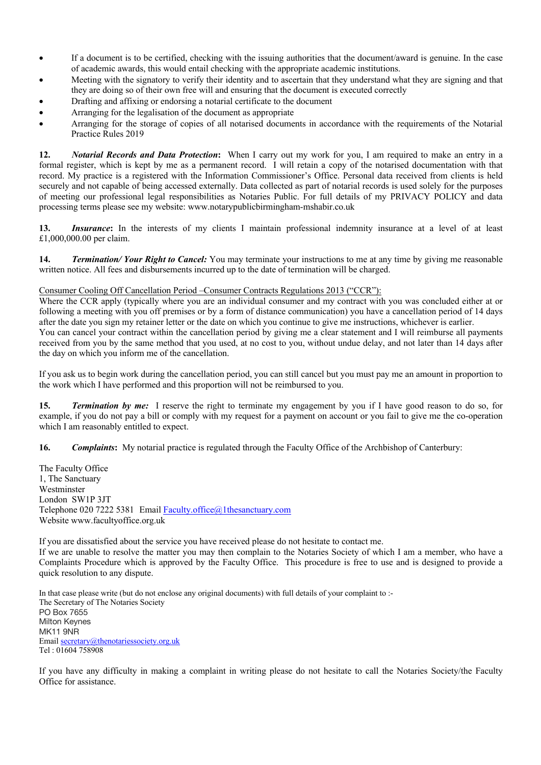- If a document is to be certified, checking with the issuing authorities that the document/award is genuine. In the case of academic awards, this would entail checking with the appropriate academic institutions.
- Meeting with the signatory to verify their identity and to ascertain that they understand what they are signing and that they are doing so of their own free will and ensuring that the document is executed correctly
- Drafting and affixing or endorsing a notarial certificate to the document
- Arranging for the legalisation of the document as appropriate
- Arranging for the storage of copies of all notarised documents in accordance with the requirements of the Notarial Practice Rules 2019

**12.** *Notarial Records and Data Protection***:** When I carry out my work for you, I am required to make an entry in a formal register, which is kept by me as a permanent record. I will retain a copy of the notarised documentation with that record. My practice is a registered with the Information Commissioner's Office. Personal data received from clients is held securely and not capable of being accessed externally. Data collected as part of notarial records is used solely for the purposes of meeting our professional legal responsibilities as Notaries Public. For full details of my PRIVACY POLICY and data processing terms please see my website: www.notarypublicbirmingham-mshabir.co.uk

**13.** *Insurance***:** In the interests of my clients I maintain professional indemnity insurance at a level of at least £1,000,000.00 per claim.

**14.** *Termination/ Your Right to Cancel:* You may terminate your instructions to me at any time by giving me reasonable written notice. All fees and disbursements incurred up to the date of termination will be charged.

#### Consumer Cooling Off Cancellation Period –Consumer Contracts Regulations 2013 ("CCR"):

Where the CCR apply (typically where you are an individual consumer and my contract with you was concluded either at or following a meeting with you off premises or by a form of distance communication) you have a cancellation period of 14 days after the date you sign my retainer letter or the date on which you continue to give me instructions, whichever is earlier. You can cancel your contract within the cancellation period by giving me a clear statement and I will reimburse all payments

received from you by the same method that you used, at no cost to you, without undue delay, and not later than 14 days after the day on which you inform me of the cancellation.

If you ask us to begin work during the cancellation period, you can still cancel but you must pay me an amount in proportion to the work which I have performed and this proportion will not be reimbursed to you.

**15.** *Termination by me:* I reserve the right to terminate my engagement by you if I have good reason to do so, for example, if you do not pay a bill or comply with my request for a payment on account or you fail to give me the co-operation which I am reasonably entitled to expect.

**16.** *Complaints***:** My notarial practice is regulated through the Faculty Office of the Archbishop of Canterbury:

The Faculty Office 1, The Sanctuary Westminster London SW1P 3JT Telephone 020 7222 5381 Email Faculty.office@1thesanctuary.com Website www.facultyoffice.org.uk

If you are dissatisfied about the service you have received please do not hesitate to contact me. If we are unable to resolve the matter you may then complain to the Notaries Society of which I am a member, who have a Complaints Procedure which is approved by the Faculty Office. This procedure is free to use and is designed to provide a quick resolution to any dispute.

In that case please write (but do not enclose any original documents) with full details of your complaint to :- The Secretary of The Notaries Society PO Box 7655 Milton Keynes MK11 9NR Email secretary@thenotariessociety.org.uk Tel : 01604 758908

If you have any difficulty in making a complaint in writing please do not hesitate to call the Notaries Society/the Faculty Office for assistance.